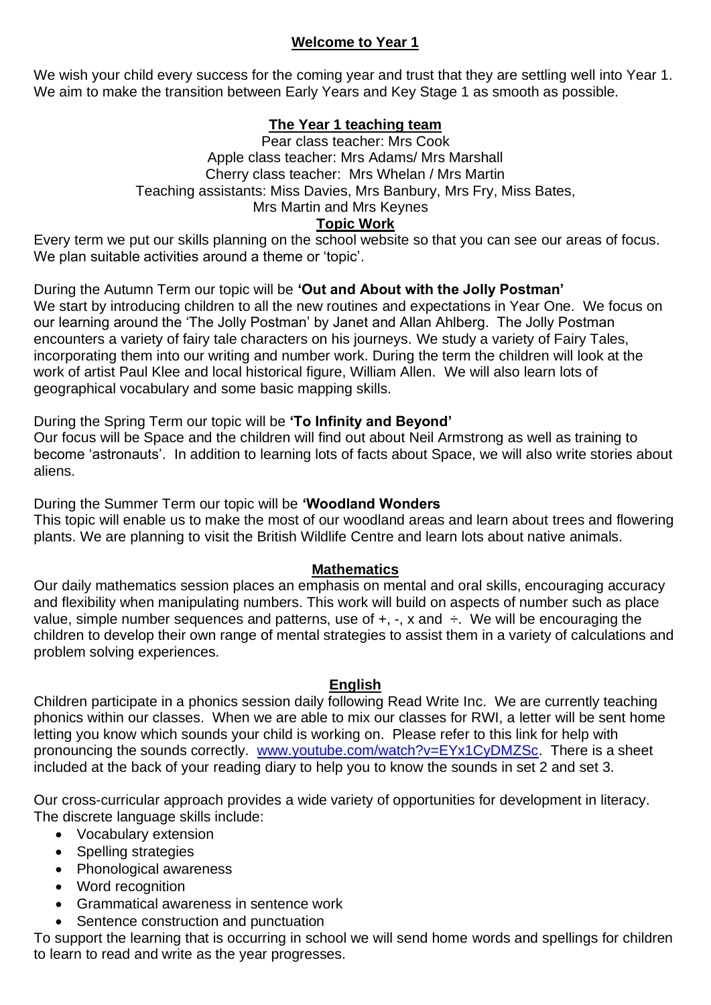# **Welcome to Year 1**

We wish your child every success for the coming year and trust that they are settling well into Year 1. We aim to make the transition between Early Years and Key Stage 1 as smooth as possible.

# **The Year 1 teaching team**

Pear class teacher: Mrs Cook Apple class teacher: Mrs Adams/ Mrs Marshall Cherry class teacher: Mrs Whelan / Mrs Martin Teaching assistants: Miss Davies, Mrs Banbury, Mrs Fry, Miss Bates, Mrs Martin and Mrs Keynes **Topic Work**

Every term we put our skills planning on the school website so that you can see our areas of focus. We plan suitable activities around a theme or 'topic'.

During the Autumn Term our topic will be **'Out and About with the Jolly Postman'** We start by introducing children to all the new routines and expectations in Year One. We focus on our learning around the 'The Jolly Postman' by Janet and Allan Ahlberg. The Jolly Postman encounters a variety of fairy tale characters on his journeys. We study a variety of Fairy Tales, incorporating them into our writing and number work. During the term the children will look at the work of artist Paul Klee and local historical figure, William Allen. We will also learn lots of geographical vocabulary and some basic mapping skills.

During the Spring Term our topic will be **'To Infinity and Beyond'**

Our focus will be Space and the children will find out about Neil Armstrong as well as training to become 'astronauts'. In addition to learning lots of facts about Space, we will also write stories about aliens.

During the Summer Term our topic will be **'Woodland Wonders** This topic will enable us to make the most of our woodland areas and learn about trees and flowering plants. We are planning to visit the British Wildlife Centre and learn lots about native animals.

## **Mathematics**

Our daily mathematics session places an emphasis on mental and oral skills, encouraging accuracy and flexibility when manipulating numbers. This work will build on aspects of number such as place value, simple number sequences and patterns, use of  $+, -$ , x and  $\div$ . We will be encouraging the children to develop their own range of mental strategies to assist them in a variety of calculations and problem solving experiences.

## **English**

Children participate in a phonics session daily following Read Write Inc. We are currently teaching phonics within our classes. When we are able to mix our classes for RWI, a letter will be sent home letting you know which sounds your child is working on. Please refer to this link for help with pronouncing the sounds correctly. [www.youtube.com/watch?v=EYx1CyDMZSc.](http://www.youtube.com/watch?v=EYx1CyDMZSc) There is a sheet included at the back of your reading diary to help you to know the sounds in set 2 and set 3.

Our cross-curricular approach provides a wide variety of opportunities for development in literacy. The discrete language skills include:

- Vocabulary extension
- Spelling strategies
- Phonological awareness
- Word recognition
- Grammatical awareness in sentence work
- Sentence construction and punctuation

To support the learning that is occurring in school we will send home words and spellings for children to learn to read and write as the year progresses.